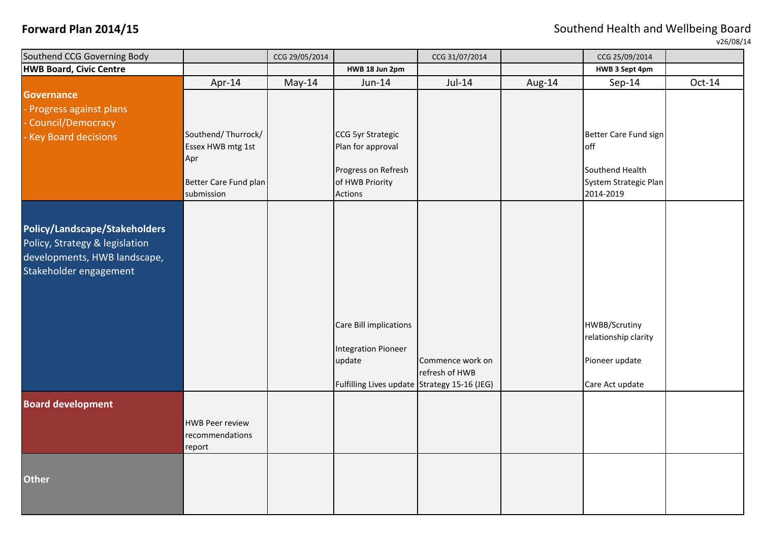**Forward Plan 2014/15 Forward Plan 2014/15 Southend Health and Wellbeing Board** 

 $\nu$ 26/08/14

| Southend CCG Governing Body    |                        | CCG 29/05/2014 |                                              | CCG 31/07/2014   |        | CCG 25/09/2014                           |          |
|--------------------------------|------------------------|----------------|----------------------------------------------|------------------|--------|------------------------------------------|----------|
| <b>HWB Board, Civic Centre</b> |                        |                | HWB 18 Jun 2pm                               |                  |        | HWB 3 Sept 4pm                           |          |
|                                | Apr-14                 | $May-14$       | Jun-14                                       | Jul-14           | Aug-14 | $Sep-14$                                 | $Oct-14$ |
| <b>Governance</b>              |                        |                |                                              |                  |        |                                          |          |
| Progress against plans         |                        |                |                                              |                  |        |                                          |          |
| Council/Democracy              |                        |                |                                              |                  |        |                                          |          |
| Key Board decisions            | Southend/Thurrock/     |                | CCG 5yr Strategic                            |                  |        | Better Care Fund sign                    |          |
|                                | Essex HWB mtg 1st      |                | Plan for approval                            |                  |        | <b>off</b>                               |          |
|                                | Apr                    |                |                                              |                  |        |                                          |          |
|                                | Better Care Fund plan  |                | Progress on Refresh<br>of HWB Priority       |                  |        | Southend Health<br>System Strategic Plan |          |
|                                | submission             |                | Actions                                      |                  |        | 2014-2019                                |          |
|                                |                        |                |                                              |                  |        |                                          |          |
|                                |                        |                |                                              |                  |        |                                          |          |
| Policy/Landscape/Stakeholders  |                        |                |                                              |                  |        |                                          |          |
| Policy, Strategy & legislation |                        |                |                                              |                  |        |                                          |          |
| developments, HWB landscape,   |                        |                |                                              |                  |        |                                          |          |
| Stakeholder engagement         |                        |                |                                              |                  |        |                                          |          |
|                                |                        |                |                                              |                  |        |                                          |          |
|                                |                        |                |                                              |                  |        |                                          |          |
|                                |                        |                |                                              |                  |        |                                          |          |
|                                |                        |                | Care Bill implications                       |                  |        | HWBB/Scrutiny                            |          |
|                                |                        |                |                                              |                  |        | relationship clarity                     |          |
|                                |                        |                | <b>Integration Pioneer</b>                   |                  |        |                                          |          |
|                                |                        |                | update                                       | Commence work on |        | Pioneer update                           |          |
|                                |                        |                |                                              | refresh of HWB   |        |                                          |          |
|                                |                        |                | Fulfilling Lives update Strategy 15-16 (JEG) |                  |        | Care Act update                          |          |
| <b>Board development</b>       |                        |                |                                              |                  |        |                                          |          |
|                                | <b>HWB Peer review</b> |                |                                              |                  |        |                                          |          |
|                                | recommendations        |                |                                              |                  |        |                                          |          |
|                                | report                 |                |                                              |                  |        |                                          |          |
|                                |                        |                |                                              |                  |        |                                          |          |
|                                |                        |                |                                              |                  |        |                                          |          |
| <b>Other</b>                   |                        |                |                                              |                  |        |                                          |          |
|                                |                        |                |                                              |                  |        |                                          |          |
|                                |                        |                |                                              |                  |        |                                          |          |